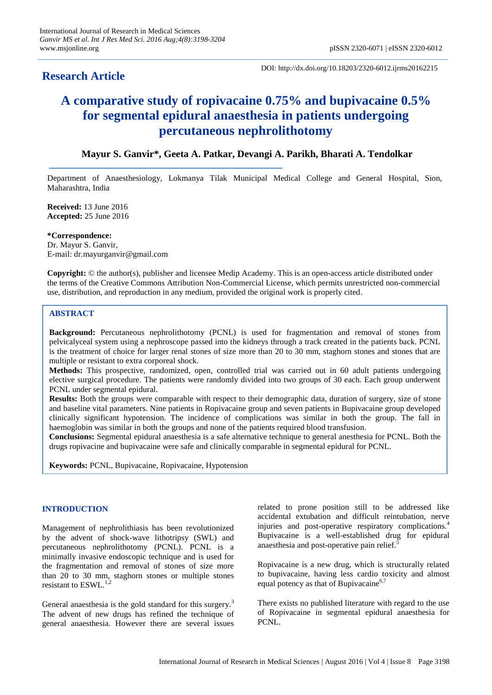# **Research Article**

DOI: http://dx.doi.org/10.18203/2320-6012.ijrms20162215

# **A comparative study of ropivacaine 0.75% and bupivacaine 0.5% for segmental epidural anaesthesia in patients undergoing percutaneous nephrolithotomy**

# **Mayur S. Ganvir\*, Geeta A. Patkar, Devangi A. Parikh, Bharati A. Tendolkar**

Department of Anaesthesiology, Lokmanya Tilak Municipal Medical College and General Hospital, Sion, Maharashtra, India

**Received:** 13 June 2016 **Accepted:** 25 June 2016

**\*Correspondence:** Dr. Mayur S. Ganvir, E-mail: dr.mayurganvir@gmail.com

**Copyright:** © the author(s), publisher and licensee Medip Academy. This is an open-access article distributed under the terms of the Creative Commons Attribution Non-Commercial License, which permits unrestricted non-commercial use, distribution, and reproduction in any medium, provided the original work is properly cited.

# **ABSTRACT**

**Background:** Percutaneous nephrolithotomy (PCNL) is used for fragmentation and removal of stones from pelvicalyceal system using a nephroscope passed into the kidneys through a track created in the patients back. PCNL is the treatment of choice for larger renal stones of size more than 20 to 30 mm, staghorn stones and stones that are multiple or resistant to extra corporeal shock.

**Methods:** This prospective, randomized, open, controlled trial was carried out in 60 adult patients undergoing elective surgical procedure. The patients were randomly divided into two groups of 30 each. Each group underwent PCNL under segmental epidural.

**Results:** Both the groups were comparable with respect to their demographic data, duration of surgery, size of stone and baseline vital parameters. Nine patients in Ropivacaine group and seven patients in Bupivacaine group developed clinically significant hypotension. The incidence of complications was similar in both the group. The fall in haemoglobin was similar in both the groups and none of the patients required blood transfusion.

**Conclusions:** Segmental epidural anaesthesia is a safe alternative technique to general anesthesia for PCNL. Both the drugs ropivacine and bupivacaine were safe and clinically comparable in segmental epidural for PCNL.

**Keywords:** PCNL, Bupivacaine, Ropivacaine, Hypotension

# **INTRODUCTION**

Management of nephrolithiasis has been revolutionized by the advent of shock-wave lithotripsy (SWL) and percutaneous nephrolithotomy (PCNL). PCNL is a minimally invasive endoscopic technique and is used for the fragmentation and removal of stones of size more than 20 to 30 mm, staghorn stones or multiple stones resistant to  $ESWL<sup>1,2</sup>$ 

General anaesthesia is the gold standard for this surgery.<sup>3</sup> The advent of new drugs has refined the technique of general anaesthesia. However there are several issues

related to prone position still to be addressed like accidental extubation and difficult reintubation, nerve injuries and post-operative respiratory complications.<sup>4</sup> Bupivacaine is a well-established drug for epidural anaesthesia and post-operative pain relief.<sup>5</sup>

Ropivacaine is a new drug, which is structurally related to bupivacaine, having less cardio toxicity and almost equal potency as that of Bupivacaine<sup>6,7</sup>

There exists no published literature with regard to the use of Ropivacaine in segmental epidural anaesthesia for PCNL.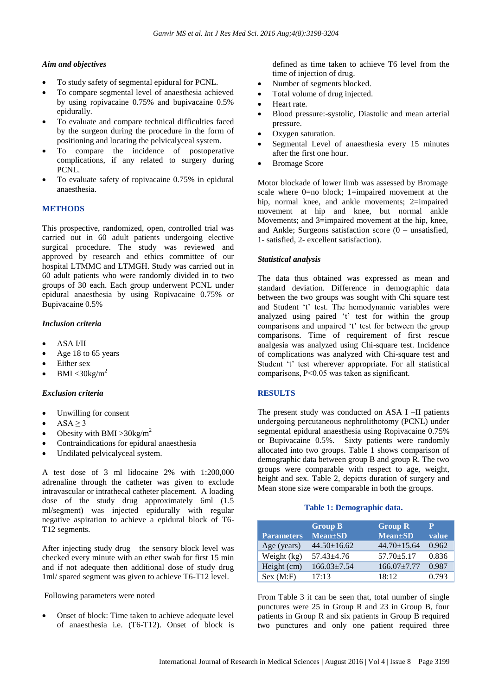# *Aim and objectives*

- To study safety of segmental epidural for PCNL.
- To compare segmental level of anaesthesia achieved by using ropivacaine 0.75% and bupivacaine 0.5% epidurally.
- To evaluate and compare technical difficulties faced by the surgeon during the procedure in the form of positioning and locating the pelvicalyceal system.
- To compare the incidence of postoperative complications, if any related to surgery during PCNL.
- To evaluate safety of ropivacaine 0.75% in epidural anaesthesia.

# **METHODS**

This prospective, randomized, open, controlled trial was carried out in 60 adult patients undergoing elective surgical procedure. The study was reviewed and approved by research and ethics committee of our hospital LTMMC and LTMGH. Study was carried out in 60 adult patients who were randomly divided in to two groups of 30 each. Each group underwent PCNL under epidural anaesthesia by using Ropivacaine 0.75% or Bupivacaine 0.5%

### *Inclusion criteria*

- ASA I/II
- Age 18 to 65 years
- Either sex
- BMI  $\langle 30 \text{kg/m}^2$

### *Exclusion criteria*

- Unwilling for consent
- $\bullet$  ASA  $\geq$  3
- Obesity with BMI > 30 kg/m<sup>2</sup>
- Contraindications for epidural anaesthesia
- Undilated pelvicalyceal system.

A test dose of 3 ml lidocaine 2% with 1:200,000 adrenaline through the catheter was given to exclude intravascular or intrathecal catheter placement. A loading dose of the study drug approximately 6ml (1.5 ml/segment) was injected epidurally with regular negative aspiration to achieve a epidural block of T6- T12 segments.

After injecting study drug the sensory block level was checked every minute with an ether swab for first 15 min and if not adequate then additional dose of study drug 1ml/ spared segment was given to achieve T6-T12 level.

Following parameters were noted

 Onset of block: Time taken to achieve adequate level of anaesthesia i.e. (T6-T12). Onset of block is defined as time taken to achieve T6 level from the time of injection of drug.

- Number of segments blocked.
- Total volume of drug injected.
- Heart rate.
- Blood pressure:-systolic, Diastolic and mean arterial pressure.
- Oxygen saturation.
- Segmental Level of anaesthesia every 15 minutes after the first one hour.
- Bromage Score

Motor blockade of lower limb was assessed by Bromage scale where 0=no block; 1=impaired movement at the hip, normal knee, and ankle movements; 2=impaired movement at hip and knee, but normal ankle Movements; and 3=impaired movement at the hip, knee, and Ankle; Surgeons satisfaction score  $(0 -$  unsatisfied, 1- satisfied, 2- excellent satisfaction).

### *Statistical analysis*

The data thus obtained was expressed as mean and standard deviation. Difference in demographic data between the two groups was sought with Chi square test and Student 't' test. The hemodynamic variables were analyzed using paired 't' test for within the group comparisons and unpaired 't' test for between the group comparisons. Time of requirement of first rescue analgesia was analyzed using Chi-square test. Incidence of complications was analyzed with Chi-square test and Student 't' test wherever appropriate. For all statistical comparisons, P˂0.05 was taken as significant.

# **RESULTS**

The present study was conducted on ASA I –II patients undergoing percutaneous nephrolithotomy (PCNL) under segmental epidural anaesthesia using Ropivacaine 0.75% or Bupivacaine 0.5%. Sixty patients were randomly allocated into two groups. Table 1 shows comparison of demographic data between group B and group R. The two groups were comparable with respect to age, weight, height and sex. Table 2, depicts duration of surgery and Mean stone size were comparable in both the groups.

### **Table 1: Demographic data.**

| <b>Parameters</b> | <b>Group B</b><br><b>Mean</b> ±SD | <b>Group R</b><br><b>Mean</b> ±SD | р<br>value |
|-------------------|-----------------------------------|-----------------------------------|------------|
| Age (years)       | $44.50 \pm 16.62$                 | $44.70 \pm 15.64$                 | 0.962      |
| Weight (kg)       | $57.43 \pm 4.76$                  | $57.70 \pm 5.17$                  | 0.836      |
| Height (cm)       | $166.03 \pm 7.54$                 | $166.07 \pm 7.77$                 | 0.987      |
| Sex (M:F)         | 17:13                             | 18:12                             | 0.793      |

From Table 3 it can be seen that, total number of single punctures were 25 in Group R and 23 in Group B, four patients in Group R and six patients in Group B required two punctures and only one patient required three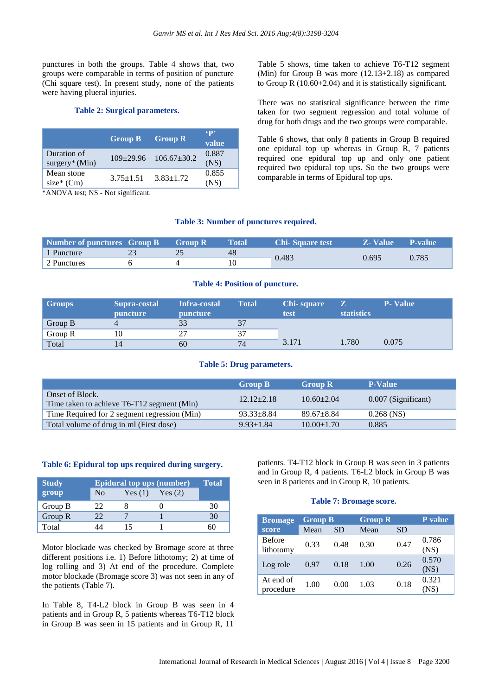punctures in both the groups. Table 4 shows that, two groups were comparable in terms of position of puncture (Chi square test). In present study, none of the patients were having plueral injuries.

### **Table 2: Surgical parameters.**

|                                 | <b>Group B</b>  | <b>Group R</b>        | $\epsilon_{\mathbf{p}}$<br>value |
|---------------------------------|-----------------|-----------------------|----------------------------------|
| Duration of<br>$surgery^*(Min)$ |                 | 109±29.96 106.67±30.2 | 0.887<br>(NS)                    |
| Mean stone<br>$size*(Cm)$       | $3.75 \pm 1.51$ | $3.83 \pm 1.72$       | 0.855<br>(NS)                    |

\*ANOVA test; NS - Not significant.

Table 5 shows, time taken to achieve T6-T12 segment (Min) for Group B was more (12.13+2.18) as compared to Group R (10.60+2.04) and it is statistically significant.

There was no statistical significance between the time taken for two segment regression and total volume of drug for both drugs and the two groups were comparable.

Table 6 shows, that only 8 patients in Group B required one epidural top up whereas in Group R, 7 patients required one epidural top up and only one patient required two epidural top ups. So the two groups were comparable in terms of Epidural top ups.

### **Table 3: Number of punctures required.**

| Number of punctures Group B Group R |  | Total | <b>Chi-Square test</b> | <b>Z</b> - Value | <b>P-value</b> |
|-------------------------------------|--|-------|------------------------|------------------|----------------|
| 1 Puncture                          |  | 48    | 0.483                  | 0.695            | 0.785          |
| 2 Punctures                         |  |       |                        |                  |                |

### **Table 4: Position of puncture.**

| <b>Groups</b> | Supra-costal<br>puncture | Infra-costal<br>puncture | <b>Total</b> | <b>Chi-square</b><br>test | <b>statistics</b> | <b>P</b> - Value |
|---------------|--------------------------|--------------------------|--------------|---------------------------|-------------------|------------------|
| Group B       |                          |                          |              |                           |                   |                  |
| Group R       |                          |                          | 37           |                           |                   |                  |
| Total         |                          | 60                       | 74           | 3.171                     | l.780             | 0.075            |

### **Table 5: Drug parameters.**

|                                                               | <b>Group B</b>   | <b>Group R</b>   | <b>P-Value</b>      |
|---------------------------------------------------------------|------------------|------------------|---------------------|
| Onset of Block.<br>Time taken to achieve T6-T12 segment (Min) | $12.12 + 2.18$   | $10.60 \pm 2.04$ | 0.007 (Significant) |
| Time Required for 2 segment regression (Min)                  | $93.33 \pm 8.84$ | $89.67 + 8.84$   | $0.268$ (NS)        |
| Total volume of drug in ml (First dose)                       | $9.93 \pm 1.84$  | $10.00 \pm 1.70$ | 0.885               |

### **Table 6: Epidural top ups required during surgery.**

| <b>Study</b> | <b>Epidural top ups (number)</b> | Total  |        |    |
|--------------|----------------------------------|--------|--------|----|
| group        | N <sub>0</sub>                   | Yes(1) | Yes(2) |    |
| Group B      | 77                               |        |        | 30 |
| Group $R$    | フフ                               |        |        | 30 |
| Total        |                                  |        |        |    |

Motor blockade was checked by Bromage score at three different positions i.e. 1) Before lithotomy; 2) at time of log rolling and 3) At end of the procedure. Complete motor blockade (Bromage score 3) was not seen in any of the patients (Table 7).

In Table 8, T4-L2 block in Group B was seen in 4 patients and in Group R, 5 patients whereas T6-T12 block in Group B was seen in 15 patients and in Group R, 11

patients. T4-T12 block in Group B was seen in 3 patients and in Group R, 4 patients. T6-L2 block in Group B was seen in 8 patients and in Group R, 10 patients.

### **Table 7: Bromage score.**

| <b>Bromage</b>             | <b>Group B</b> |           |      | <b>Group R</b> |               |  |
|----------------------------|----------------|-----------|------|----------------|---------------|--|
| score                      | Mean           | <b>SD</b> | Mean | <b>SD</b>      |               |  |
| <b>Before</b><br>lithotomy | 0.33           | 0.48      | 0.30 | 0.47           | 0.786<br>(NS) |  |
| Log role                   | 0.97           | 0.18      | 1.00 | 0.26           | 0.570<br>(NS) |  |
| At end of<br>procedure     | 1.00           | 0.00      | 1.03 | 0.18           | 0.321<br>(NS) |  |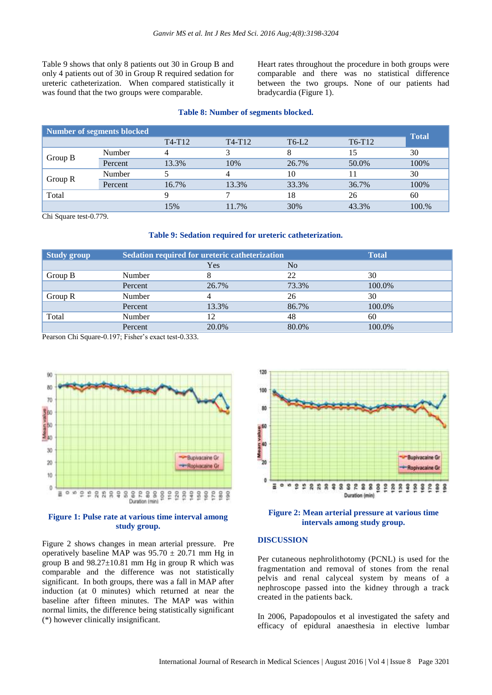Table 9 shows that only 8 patients out 30 in Group B and only 4 patients out of 30 in Group R required sedation for ureteric catheterization. When compared statistically it was found that the two groups were comparable.

Heart rates throughout the procedure in both groups were comparable and there was no statistical difference between the two groups. None of our patients had bradycardia (Figure 1).

### **Table 8: Number of segments blocked.**

| Number of segments blocked |         |        |        |         |        | <b>Total</b> |
|----------------------------|---------|--------|--------|---------|--------|--------------|
|                            |         | T4-T12 | T4-T12 | $T6-L2$ | T6-T12 |              |
|                            | Number  | 4      |        |         |        | 30           |
| Group B                    | Percent | 13.3%  | 10%    | 26.7%   | 50.0%  | 100%         |
| Group $R$                  | Number  |        |        | 10      |        | 30           |
|                            | Percent | 16.7%  | 13.3%  | 33.3%   | 36.7%  | 100%         |
| Total                      |         |        |        | 18      | 26     | 60           |
|                            |         | 15%    | 11.7%  | 30%     | 43.3%  | 100.%        |

Chi Square test-0.779.

#### **Table 9: Sedation required for ureteric catheterization.**

| <b>Study group</b> | Sedation required for ureteric catheterization | <b>Total</b> |       |        |
|--------------------|------------------------------------------------|--------------|-------|--------|
|                    |                                                | Yes          | No.   |        |
| Group B            | Number                                         |              | 22    | 30     |
|                    | Percent                                        | 26.7%        | 73.3% | 100.0% |
| Group R            | Number                                         |              | 26    | 30     |
|                    | Percent                                        | 13.3%        | 86.7% | 100.0% |
| Total              | Number                                         | 12           | 48    | 60     |
|                    | Percent                                        | 20.0%        | 80.0% | 100.0% |

Pearson Chi Square-0.197; Fisher's exact test-0.333.



### **Figure 1: Pulse rate at various time interval among study group.**

Figure 2 shows changes in mean arterial pressure. Pre operatively baseline MAP was  $95.70 \pm 20.71$  mm Hg in group B and  $98.27 \pm 10.81$  mm Hg in group R which was comparable and the difference was not statistically significant. In both groups, there was a fall in MAP after induction (at 0 minutes) which returned at near the baseline after fifteen minutes. The MAP was within normal limits, the difference being statistically significant (\*) however clinically insignificant.



### **Figure 2: Mean arterial pressure at various time intervals among study group.**

### **DISCUSSION**

Per cutaneous nephrolithotomy (PCNL) is used for the fragmentation and removal of stones from the renal pelvis and renal calyceal system by means of a nephroscope passed into the kidney through a track created in the patients back.

In 2006, Papadopoulos et al investigated the safety and efficacy of epidural anaesthesia in elective lumbar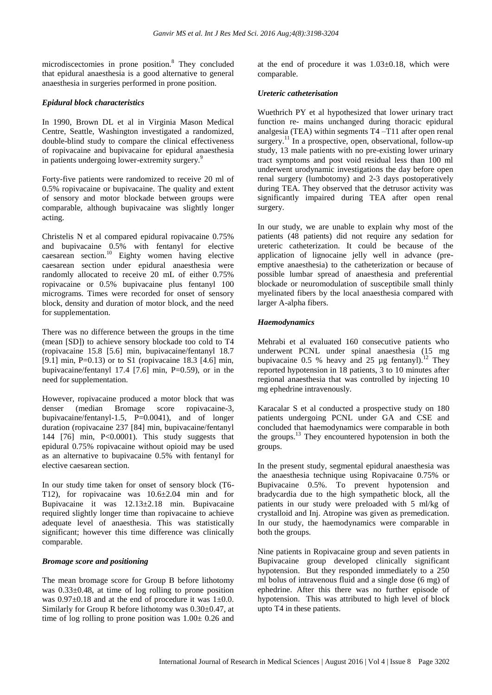microdiscectomies in prone position.<sup>8</sup> They concluded that epidural anaesthesia is a good alternative to general anaesthesia in surgeries performed in prone position.

# *Epidural block characteristics*

In 1990, Brown DL et al in Virginia Mason Medical Centre, Seattle, Washington investigated a randomized, double-blind study to compare the clinical effectiveness of ropivacaine and bupivacaine for epidural anaesthesia in patients undergoing lower-extremity surgery.<sup>9</sup>

Forty-five patients were randomized to receive 20 ml of 0.5% ropivacaine or bupivacaine. The quality and extent of sensory and motor blockade between groups were comparable, although bupivacaine was slightly longer acting.

Christelis N et al compared epidural ropivacaine 0.75% and bupivacaine 0.5% with fentanyl for elective caesarean section.<sup>10</sup> Eighty women having elective caesarean section under epidural anaesthesia were randomly allocated to receive 20 mL of either 0.75% ropivacaine or 0.5% bupivacaine plus fentanyl 100 micrograms. Times were recorded for onset of sensory block, density and duration of motor block, and the need for supplementation.

There was no difference between the groups in the time (mean [SD]) to achieve sensory blockade too cold to T4 (ropivacaine 15.8 [5.6] min, bupivacaine/fentanyl 18.7 [9.1] min, P=0.13) or to S1 (ropivacaine 18.3 [4.6] min, bupivacaine/fentanyl 17.4 [7.6] min, P=0.59), or in the need for supplementation.

However, ropivacaine produced a motor block that was denser (median Bromage score ropivacaine-3, bupivacaine/fentanyl-1.5, P=0.0041), and of longer duration (ropivacaine 237 [84] min, bupivacaine/fentanyl 144 [76] min, P<0.0001). This study suggests that epidural 0.75% ropivacaine without opioid may be used as an alternative to bupivacaine 0.5% with fentanyl for elective caesarean section.

In our study time taken for onset of sensory block (T6- T12), for ropivacaine was 10.6±2.04 min and for Bupivacaine it was 12.13±2.18 min. Bupivacaine required slightly longer time than ropivacaine to achieve adequate level of anaesthesia. This was statistically significant; however this time difference was clinically comparable.

# *Bromage score and positioning*

The mean bromage score for Group B before lithotomy was 0.33±0.48, at time of log rolling to prone position was  $0.97\pm0.18$  and at the end of procedure it was  $1\pm0.0$ . Similarly for Group R before lithotomy was 0.30±0.47, at time of log rolling to prone position was  $1.00 \pm 0.26$  and at the end of procedure it was  $1.03\pm0.18$ , which were comparable.

# *Ureteric catheterisation*

Wuethrich PY et al hypothesized that lower urinary tract function re- mains unchanged during thoracic epidural analgesia (TEA) within segments T4 –T11 after open renal surgery.<sup>11</sup> In a prospective, open, observational, follow-up study, 13 male patients with no pre-existing lower urinary tract symptoms and post void residual less than 100 ml underwent urodynamic investigations the day before open renal surgery (lumbotomy) and 2-3 days postoperatively during TEA. They observed that the detrusor activity was significantly impaired during TEA after open renal surgery.

In our study, we are unable to explain why most of the patients (48 patients) did not require any sedation for ureteric catheterization. It could be because of the application of lignocaine jelly well in advance (preemptive anaesthesia) to the catheterization or because of possible lumbar spread of anaesthesia and preferential blockade or neuromodulation of susceptibile small thinly myelinated fibers by the local anaesthesia compared with larger A-alpha fibers.

# *Haemodynamics*

Mehrabi et al evaluated 160 consecutive patients who underwent PCNL under spinal anaesthesia (15 mg bupivacaine 0.5 % heavy and 25  $\mu$ g fentanyl).<sup>12</sup> They reported hypotension in 18 patients, 3 to 10 minutes after regional anaesthesia that was controlled by injecting 10 mg ephedrine intravenously.

Karacalar S et al conducted a prospective study on 180 patients undergoing PCNL under GA and CSE and concluded that haemodynamics were comparable in both the groups.<sup>13</sup> They encountered hypotension in both the groups.

In the present study, segmental epidural anaesthesia was the anaesthesia technique using Ropivacaine 0.75% or Bupivacaine 0.5%. To prevent hypotension and bradycardia due to the high sympathetic block, all the patients in our study were preloaded with 5 ml/kg of crystalloid and Inj. Atropine was given as premedication. In our study, the haemodynamics were comparable in both the groups.

Nine patients in Ropivacaine group and seven patients in Bupivacaine group developed clinically significant hypotension. But they responded immediately to a 250 ml bolus of intravenous fluid and a single dose (6 mg) of ephedrine. After this there was no further episode of hypotension. This was attributed to high level of block upto T4 in these patients.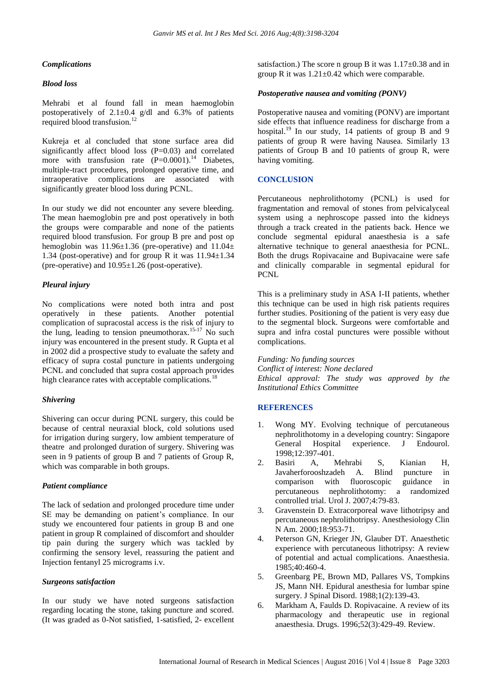### *Complications*

### *Blood loss*

Mehrabi et al found fall in mean haemoglobin postoperatively of  $2.1 \pm 0.4$  g/dl and  $6.3\%$  of patients required blood transfusion.<sup>1</sup>

Kukreja et al concluded that stone surface area did significantly affect blood loss (P=0.03) and correlated more with transfusion rate  $(P=0.0001)$ .<sup>14</sup> Diabetes, multiple-tract procedures, prolonged operative time, and intraoperative complications are associated with significantly greater blood loss during PCNL.

In our study we did not encounter any severe bleeding. The mean haemoglobin pre and post operatively in both the groups were comparable and none of the patients required blood transfusion. For group B pre and post op hemoglobin was 11.96±1.36 (pre-operative) and 11.04± 1.34 (post-operative) and for group R it was  $11.94 \pm 1.34$ (pre-operative) and 10.95±1.26 (post-operative).

# *Pleural injury*

No complications were noted both intra and post operatively in these patients. Another potential complication of supracostal access is the risk of injury to the lung, leading to tension pneumothorax.<sup>15-17</sup> No such injury was encountered in the present study. R Gupta et al in 2002 did a prospective study to evaluate the safety and efficacy of supra costal puncture in patients undergoing PCNL and concluded that supra costal approach provides high clearance rates with acceptable complications.<sup>1</sup>

# *Shivering*

Shivering can occur during PCNL surgery, this could be because of central neuraxial block, cold solutions used for irrigation during surgery, low ambient temperature of theatre and prolonged duration of surgery. Shivering was seen in 9 patients of group B and 7 patients of Group R, which was comparable in both groups.

# *Patient compliance*

The lack of sedation and prolonged procedure time under SE may be demanding on patient's compliance. In our study we encountered four patients in group B and one patient in group R complained of discomfort and shoulder tip pain during the surgery which was tackled by confirming the sensory level, reassuring the patient and Injection fentanyl 25 micrograms i.v.

# *Surgeons satisfaction*

In our study we have noted surgeons satisfaction regarding locating the stone, taking puncture and scored. (It was graded as 0-Not satisfied, 1-satisfied, 2- excellent satisfaction.) The score n group B it was  $1.17\pm0.38$  and in group R it was  $1.21 \pm 0.42$  which were comparable.

### *Postoperative nausea and vomiting (PONV)*

Postoperative nausea and vomiting (PONV) are important side effects that influence readiness for discharge from a hospital.<sup>19</sup> In our study, 14 patients of group B and 9 patients of group R were having Nausea. Similarly 13 patients of Group B and 10 patients of group R, were having vomiting.

# **CONCLUSION**

Percutaneous nephrolithotomy (PCNL) is used for fragmentation and removal of stones from pelvicalyceal system using a nephroscope passed into the kidneys through a track created in the patients back. Hence we conclude segmental epidural anaesthesia is a safe alternative technique to general anaesthesia for PCNL. Both the drugs Ropivacaine and Bupivacaine were safe and clinically comparable in segmental epidural for PCNL

This is a preliminary study in ASA I-II patients, whether this technique can be used in high risk patients requires further studies. Positioning of the patient is very easy due to the segmental block. Surgeons were comfortable and supra and infra costal punctures were possible without complications.

*Funding: No funding sources*

*Conflict of interest: None declared Ethical approval: The study was approved by the Institutional Ethics Committee*

# **REFERENCES**

- 1. Wong MY. Evolving technique of percutaneous nephrolithotomy in a developing country: Singapore General Hospital experience. J Endourol. 1998;12:397-401.
- 2. Basiri A, Mehrabi S, Kianian H, Javaherforooshzadeh A. Blind puncture in comparison with fluoroscopic guidance in percutaneous nephrolithotomy: a randomized controlled trial. Urol J. 2007;4:79-83.
- 3. Gravenstein D. Extracorporeal wave lithotripsy and percutaneous nephrolithotripsy. Anesthesiology Clin N Am. 2000;18:953-71.
- 4. Peterson GN, Krieger JN, Glauber DT. Anaesthetic experience with percutaneous lithotripsy: A review of potential and actual complications. Anaesthesia. 1985;40:460-4.
- 5. Greenbarg PE, Brown MD, Pallares VS, Tompkins JS, Mann NH. Epidural anesthesia for lumbar spine surgery. J Spinal Disord. 1988;1(2):139-43.
- 6. Markham A, Faulds D. Ropivacaine. A review of its pharmacology and therapeutic use in regional anaesthesia. Drugs. 1996;52(3):429-49. Review.